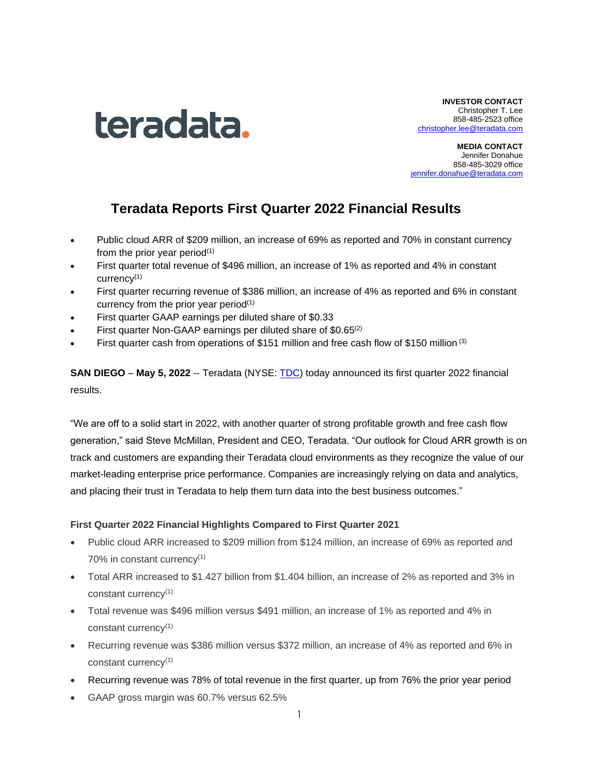

**INVESTOR CONTACT** Christopher T. Lee 858-485-2523 office [christopher.lee@teradata.com](mailto:christopher.lee@teradata.com)

**MEDIA CONTACT** Jennifer Donahue 858-485-3029 office [jennifer.donahue@teradata.com](mailto:jennifer.donahue@teradata.com)

# **Teradata Reports First Quarter 2022 Financial Results**

- Public cloud ARR of \$209 million, an increase of 69% as reported and 70% in constant currency from the prior year period $(1)$
- First quarter total revenue of \$496 million, an increase of 1% as reported and 4% in constant currency(1)
- First quarter recurring revenue of \$386 million, an increase of 4% as reported and 6% in constant currency from the prior year period $(1)$
- First quarter GAAP earnings per diluted share of \$0.33
- First quarter Non-GAAP earnings per diluted share of \$0.65<sup>(2)</sup>
- First quarter cash from operations of \$151 million and free cash flow of \$150 million (3)

**SAN DIEGO** – **May 5, 2022** -- Teradata (NYSE: [TDC\)](https://investor.teradata.com/about-teradata/default.aspx) today announced its first quarter 2022 financial results.

"We are off to a solid start in 2022, with another quarter of strong profitable growth and free cash flow generation," said Steve McMillan, President and CEO, Teradata. "Our outlook for Cloud ARR growth is on track and customers are expanding their Teradata cloud environments as they recognize the value of our market-leading enterprise price performance. Companies are increasingly relying on data and analytics, and placing their trust in Teradata to help them turn data into the best business outcomes."

## **First Quarter 2022 Financial Highlights Compared to First Quarter 2021**

- Public cloud ARR increased to \$209 million from \$124 million, an increase of 69% as reported and 70% in constant currency<sup>(1)</sup>
- Total ARR increased to \$1.427 billion from \$1.404 billion, an increase of 2% as reported and 3% in constant currency<sup>(1)</sup>
- Total revenue was \$496 million versus \$491 million, an increase of 1% as reported and 4% in constant currency(1)
- Recurring revenue was \$386 million versus \$372 million, an increase of 4% as reported and 6% in constant currency(1)
- Recurring revenue was 78% of total revenue in the first quarter, up from 76% the prior year period
- GAAP gross margin was 60.7% versus 62.5%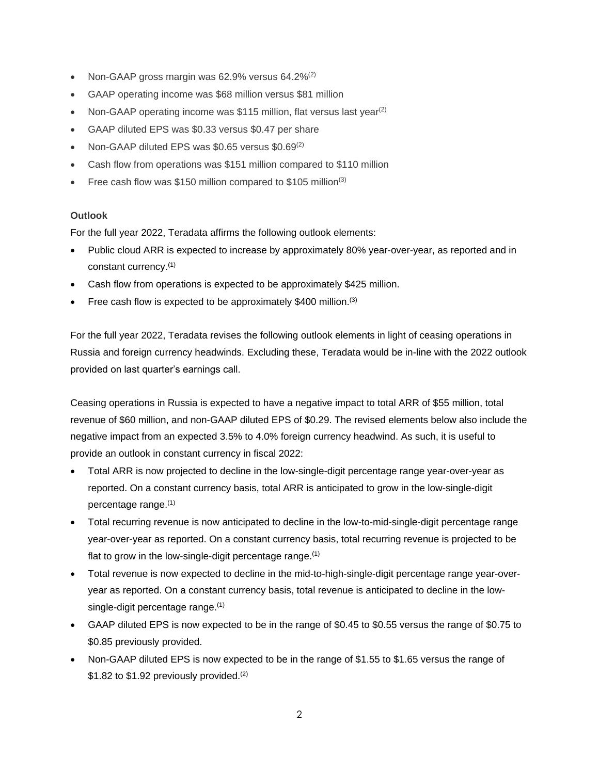- Non-GAAP gross margin was 62.9% versus 64.2%(2)
- GAAP operating income was \$68 million versus \$81 million
- Non-GAAP operating income was \$115 million, flat versus last year<sup>(2)</sup>
- GAAP diluted EPS was \$0.33 versus \$0.47 per share
- Non-GAAP diluted EPS was \$0.65 versus \$0.69(2)
- Cash flow from operations was \$151 million compared to \$110 million
- Free cash flow was \$150 million compared to \$105 million<sup>(3)</sup>

### **Outlook**

For the full year 2022, Teradata affirms the following outlook elements:

- Public cloud ARR is expected to increase by approximately 80% year-over-year, as reported and in constant currency. (1)
- Cash flow from operations is expected to be approximately \$425 million.
- Free cash flow is expected to be approximately \$400 million.<sup>(3)</sup>

For the full year 2022, Teradata revises the following outlook elements in light of ceasing operations in Russia and foreign currency headwinds. Excluding these, Teradata would be in-line with the 2022 outlook provided on last quarter's earnings call.

Ceasing operations in Russia is expected to have a negative impact to total ARR of \$55 million, total revenue of \$60 million, and non-GAAP diluted EPS of \$0.29. The revised elements below also include the negative impact from an expected 3.5% to 4.0% foreign currency headwind. As such, it is useful to provide an outlook in constant currency in fiscal 2022:

- Total ARR is now projected to decline in the low-single-digit percentage range year-over-year as reported. On a constant currency basis, total ARR is anticipated to grow in the low-single-digit percentage range.<sup>(1)</sup>
- Total recurring revenue is now anticipated to decline in the low-to-mid-single-digit percentage range year-over-year as reported. On a constant currency basis, total recurring revenue is projected to be flat to grow in the low-single-digit percentage range.<sup>(1)</sup>
- Total revenue is now expected to decline in the mid-to-high-single-digit percentage range year-overyear as reported. On a constant currency basis, total revenue is anticipated to decline in the lowsingle-digit percentage range.<sup>(1)</sup>
- GAAP diluted EPS is now expected to be in the range of \$0.45 to \$0.55 versus the range of \$0.75 to \$0.85 previously provided.
- Non-GAAP diluted EPS is now expected to be in the range of \$1.55 to \$1.65 versus the range of  $$1.82$  to  $$1.92$  previously provided.<sup>(2)</sup>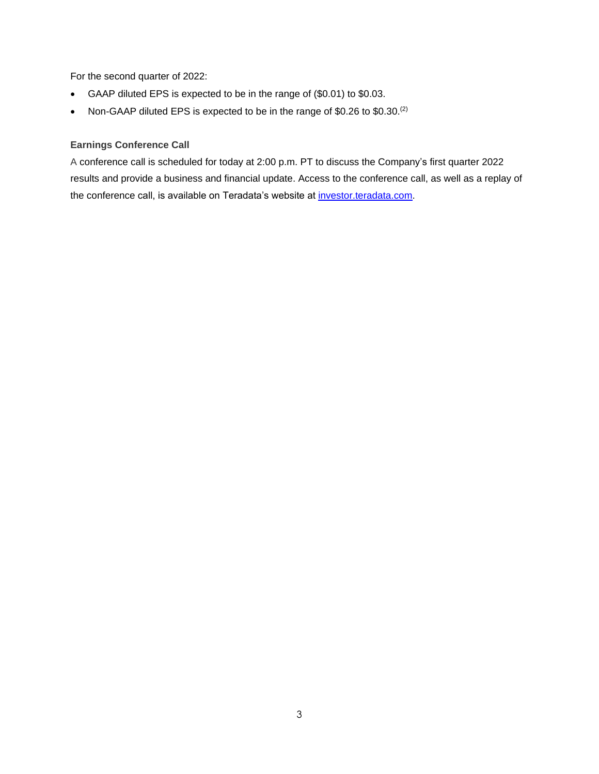For the second quarter of 2022:

- GAAP diluted EPS is expected to be in the range of (\$0.01) to \$0.03.
- Non-GAAP diluted EPS is expected to be in the range of \$0.26 to \$0.30. $^{(2)}$

### **Earnings Conference Call**

A conference call is scheduled for today at 2:00 p.m. PT to discuss the Company's first quarter 2022 results and provide a business and financial update. Access to the conference call, as well as a replay of the conference call, is available on Teradata's website at [investor.teradata.com.](https://investor.teradata.com/about-teradata/default.aspx#top)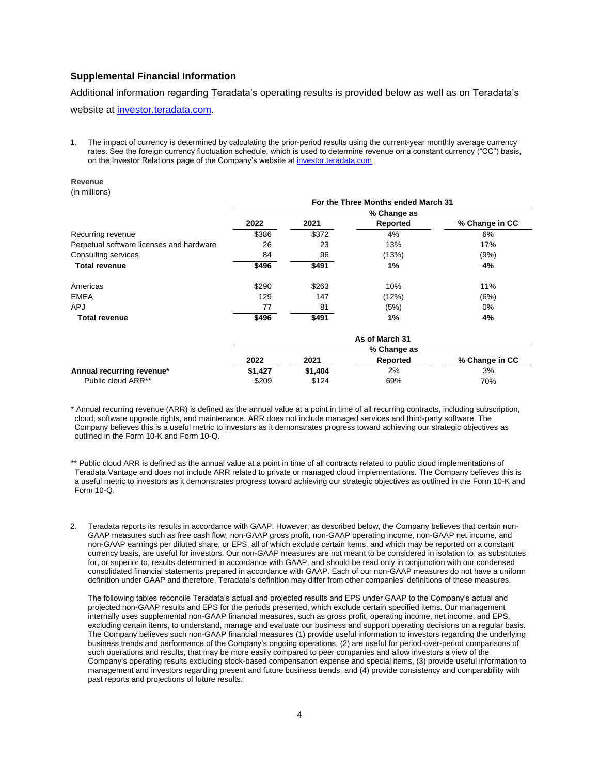### **Supplemental Financial Information**

Additional information regarding Teradata's operating results is provided below as well as on Teradata's website at [investor.teradata.com.](https://investor.teradata.com/)

1. The impact of currency is determined by calculating the prior-period results using the current-year monthly average currency rates. See the foreign currency fluctuation schedule, which is used to determine revenue on a constant currency ("CC") basis, on the Investor Relations page of the Company's website at investor teradata.com

#### **Revenue**

(in millions)

|                                          | For the Three Months ended March 31 |       |                |                |  |  |
|------------------------------------------|-------------------------------------|-------|----------------|----------------|--|--|
|                                          |                                     |       | % Change as    |                |  |  |
|                                          | 2022                                | 2021  | Reported       | % Change in CC |  |  |
| Recurring revenue                        | \$386                               | \$372 | 4%             | 6%             |  |  |
| Perpetual software licenses and hardware | 26                                  | 23    | 13%            | 17%            |  |  |
| Consulting services                      | 84                                  | 96    | (13%)          | (9%)           |  |  |
| <b>Total revenue</b>                     | \$496                               | \$491 | 1%             | 4%             |  |  |
| Americas                                 | \$290                               | \$263 | 10%            | 11%            |  |  |
| <b>EMEA</b>                              | 129                                 | 147   | (12%)          | (6%)           |  |  |
| <b>APJ</b>                               | 77                                  | 81    | (5%)           | 0%             |  |  |
| <b>Total revenue</b>                     | \$496                               | \$491 | 1%             | 4%             |  |  |
|                                          |                                     |       | As of March 31 |                |  |  |
|                                          |                                     |       | % Change as    |                |  |  |
|                                          | 2022                                | 2021  | Reported       | % Change in CC |  |  |

| 2022    | 2021    | Reported | % Change in CC |
|---------|---------|----------|----------------|
| \$1.427 | \$1.404 | 2%       | 3%             |
| \$209   | \$124   | 69%      | 70%            |
|         |         |          | % Change as    |

\* Annual recurring revenue (ARR) is defined as the annual value at a point in time of all recurring contracts, including subscription, cloud, software upgrade rights, and maintenance. ARR does not include managed services and third-party software. The Company believes this is a useful metric to investors as it demonstrates progress toward achieving our strategic objectives as outlined in the Form 10-K and Form 10-Q.

- \*\* Public cloud ARR is defined as the annual value at a point in time of all contracts related to public cloud implementations of Teradata Vantage and does not include ARR related to private or managed cloud implementations. The Company believes this is a useful metric to investors as it demonstrates progress toward achieving our strategic objectives as outlined in the Form 10-K and Form 10-Q.
- 2. Teradata reports its results in accordance with GAAP. However, as described below, the Company believes that certain non-GAAP measures such as free cash flow, non-GAAP gross profit, non-GAAP operating income, non-GAAP net income, and non-GAAP earnings per diluted share, or EPS, all of which exclude certain items, and which may be reported on a constant currency basis, are useful for investors. Our non-GAAP measures are not meant to be considered in isolation to, as substitutes for, or superior to, results determined in accordance with GAAP, and should be read only in conjunction with our condensed consolidated financial statements prepared in accordance with GAAP. Each of our non-GAAP measures do not have a uniform definition under GAAP and therefore, Teradata's definition may differ from other companies' definitions of these measures.

The following tables reconcile Teradata's actual and projected results and EPS under GAAP to the Company's actual and projected non-GAAP results and EPS for the periods presented, which exclude certain specified items. Our management internally uses supplemental non-GAAP financial measures, such as gross profit, operating income, net income, and EPS, excluding certain items, to understand, manage and evaluate our business and support operating decisions on a regular basis. The Company believes such non-GAAP financial measures (1) provide useful information to investors regarding the underlying business trends and performance of the Company's ongoing operations, (2) are useful for period-over-period comparisons of such operations and results, that may be more easily compared to peer companies and allow investors a view of the Company's operating results excluding stock-based compensation expense and special items, (3) provide useful information to management and investors regarding present and future business trends, and (4) provide consistency and comparability with past reports and projections of future results.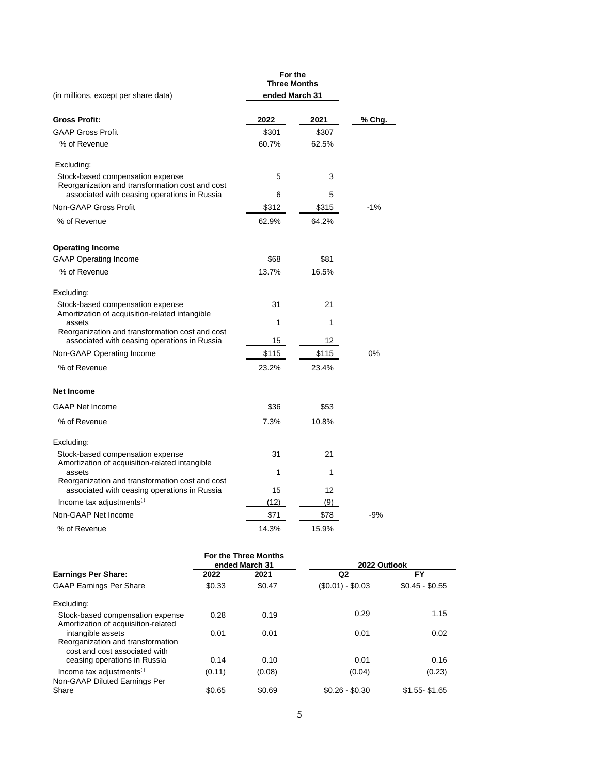|                                                                                                                                     | For the<br><b>Three Months</b> |        |        |
|-------------------------------------------------------------------------------------------------------------------------------------|--------------------------------|--------|--------|
| (in millions, except per share data)                                                                                                | ended March 31                 |        |        |
| <b>Gross Profit:</b>                                                                                                                | 2022                           | 2021   | % Chg. |
| <b>GAAP Gross Profit</b>                                                                                                            | \$301                          | \$307  |        |
| % of Revenue                                                                                                                        | 60.7%                          | 62.5%  |        |
| Excluding:                                                                                                                          |                                |        |        |
| Stock-based compensation expense<br>Reorganization and transformation cost and cost<br>associated with ceasing operations in Russia | 5<br>6                         | 3<br>5 |        |
| Non-GAAP Gross Profit                                                                                                               | \$312                          | \$315  | $-1%$  |
| % of Revenue                                                                                                                        | 62.9%                          | 64.2%  |        |
| <b>Operating Income</b>                                                                                                             |                                |        |        |
| <b>GAAP Operating Income</b>                                                                                                        | \$68                           | \$81   |        |
| % of Revenue                                                                                                                        | 13.7%                          | 16.5%  |        |
| Excluding:                                                                                                                          |                                |        |        |
| Stock-based compensation expense<br>Amortization of acquisition-related intangible                                                  | 31                             | 21     |        |
| assets                                                                                                                              | 1                              | 1      |        |
| Reorganization and transformation cost and cost<br>associated with ceasing operations in Russia                                     | 15                             | 12     |        |
| Non-GAAP Operating Income                                                                                                           | \$115                          | \$115  | 0%     |
| % of Revenue                                                                                                                        | 23.2%                          | 23.4%  |        |
| <b>Net Income</b>                                                                                                                   |                                |        |        |
| <b>GAAP Net Income</b>                                                                                                              | \$36                           | \$53   |        |
| % of Revenue                                                                                                                        | 7.3%                           | 10.8%  |        |
| Excluding:                                                                                                                          |                                |        |        |
| Stock-based compensation expense<br>Amortization of acquisition-related intangible                                                  | 31                             | 21     |        |
| assets                                                                                                                              | 1                              | 1      |        |
| Reorganization and transformation cost and cost<br>associated with ceasing operations in Russia                                     | 15                             | 12     |        |
| Income tax adjustments <sup>(i)</sup>                                                                                               | (12)                           | (9)    |        |
| Non-GAAP Net Income                                                                                                                 | \$71                           | \$78   | $-9%$  |
| % of Revenue                                                                                                                        | 14.3%                          | 15.9%  |        |

|                                                                                         |        | For the Three Months<br>ended March 31 | 2022 Outlook      |                 |
|-----------------------------------------------------------------------------------------|--------|----------------------------------------|-------------------|-----------------|
| <b>Earnings Per Share:</b>                                                              | 2022   | 2021                                   | Q2                | FY              |
| <b>GAAP Earnings Per Share</b>                                                          | \$0.33 | \$0.47                                 | $($0.01) - $0.03$ | $$0.45 - $0.55$ |
| Excluding:                                                                              |        |                                        |                   |                 |
| Stock-based compensation expense<br>Amortization of acquisition-related                 | 0.28   | 0.19                                   | 0.29              | 1.15            |
| intangible assets<br>Reorganization and transformation<br>cost and cost associated with | 0.01   | 0.01                                   | 0.01              | 0.02            |
| ceasing operations in Russia                                                            | 0.14   | 0.10                                   | 0.01              | 0.16            |
| Income tax adjustments <sup>(i)</sup><br>Non-GAAP Diluted Earnings Per                  | (0.11) | (0.08)                                 | (0.04)            | (0.23)          |
| Share                                                                                   | \$0.65 | \$0.69                                 | $$0.26 - $0.30$   | $$1.55 - $1.65$ |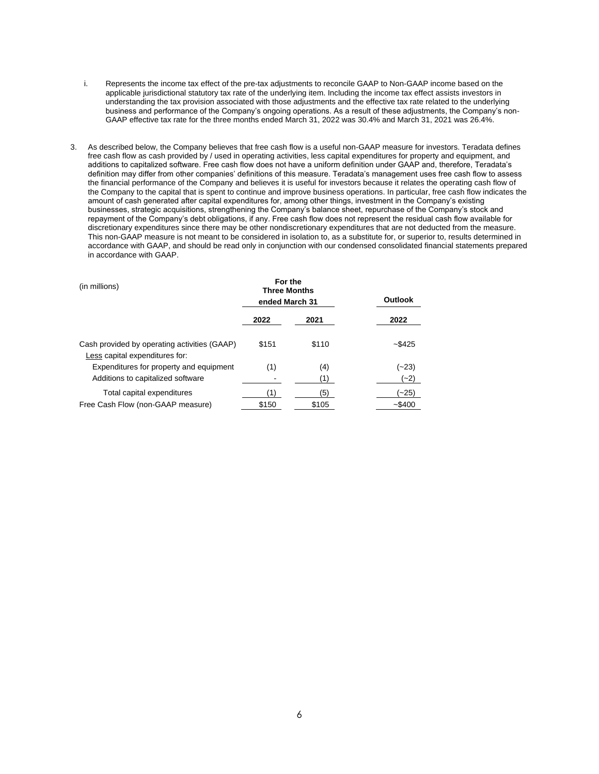- i. Represents the income tax effect of the pre-tax adjustments to reconcile GAAP to Non-GAAP income based on the applicable jurisdictional statutory tax rate of the underlying item. Including the income tax effect assists investors in understanding the tax provision associated with those adjustments and the effective tax rate related to the underlying business and performance of the Company's ongoing operations. As a result of these adjustments, the Company's non-GAAP effective tax rate for the three months ended March 31, 2022 was 30.4% and March 31, 2021 was 26.4%.
- 3. As described below, the Company believes that free cash flow is a useful non-GAAP measure for investors. Teradata defines free cash flow as cash provided by / used in operating activities, less capital expenditures for property and equipment, and additions to capitalized software. Free cash flow does not have a uniform definition under GAAP and, therefore, Teradata's definition may differ from other companies' definitions of this measure. Teradata's management uses free cash flow to assess the financial performance of the Company and believes it is useful for investors because it relates the operating cash flow of the Company to the capital that is spent to continue and improve business operations. In particular, free cash flow indicates the amount of cash generated after capital expenditures for, among other things, investment in the Company's existing businesses, strategic acquisitions, strengthening the Company's balance sheet, repurchase of the Company's stock and repayment of the Company's debt obligations, if any. Free cash flow does not represent the residual cash flow available for discretionary expenditures since there may be other nondiscretionary expenditures that are not deducted from the measure. This non-GAAP measure is not meant to be considered in isolation to, as a substitute for, or superior to, results determined in accordance with GAAP, and should be read only in conjunction with our condensed consolidated financial statements prepared in accordance with GAAP.

| (in millions)                                                                  | For the<br><b>Three Months</b><br>ended March 31 |              | Outlook            |
|--------------------------------------------------------------------------------|--------------------------------------------------|--------------|--------------------|
|                                                                                | 2022                                             | 2021         | 2022               |
| Cash provided by operating activities (GAAP)<br>Less capital expenditures for: | \$151                                            | \$110        | $-$ \$425          |
| Expenditures for property and equipment<br>Additions to capitalized software   | (1)                                              | (4)<br>(1)   | (~23)<br>(~2)      |
| Total capital expenditures<br>Free Cash Flow (non-GAAP measure)                | (1)<br>\$150                                     | (5)<br>\$105 | (~25)<br>$-$ \$400 |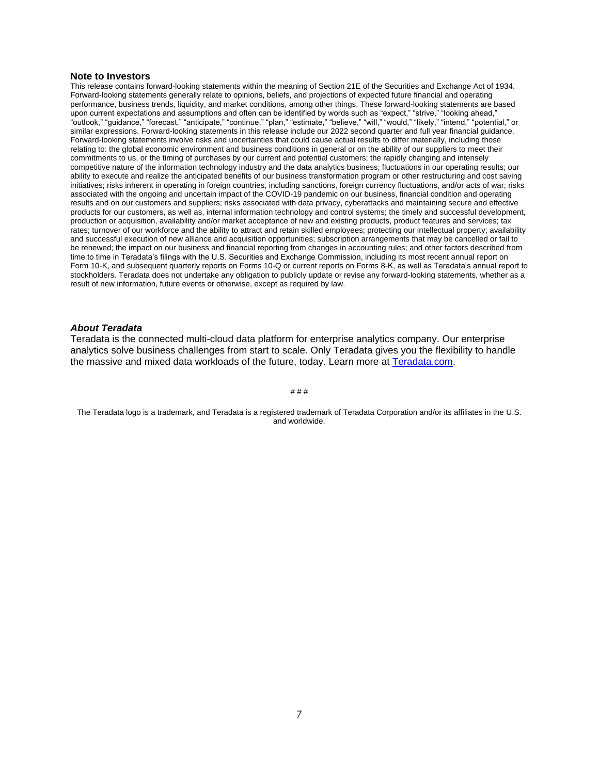#### **Note to Investors**

This release contains forward-looking statements within the meaning of Section 21E of the Securities and Exchange Act of 1934. Forward-looking statements generally relate to opinions, beliefs, and projections of expected future financial and operating performance, business trends, liquidity, and market conditions, among other things. These forward-looking statements are based upon current expectations and assumptions and often can be identified by words such as "expect," "strive," "looking ahead," "outlook," "guidance," "forecast," "anticipate," "continue," "plan," "estimate," "believe," "will," "would," "likely," "intend," "potential," or similar expressions. Forward-looking statements in this release include our 2022 second quarter and full year financial guidance. Forward-looking statements involve risks and uncertainties that could cause actual results to differ materially, including those relating to: the global economic environment and business conditions in general or on the ability of our suppliers to meet their commitments to us, or the timing of purchases by our current and potential customers; the rapidly changing and intensely competitive nature of the information technology industry and the data analytics business; fluctuations in our operating results; our ability to execute and realize the anticipated benefits of our business transformation program or other restructuring and cost saving initiatives; risks inherent in operating in foreign countries, including sanctions, foreign currency fluctuations, and/or acts of war; risks associated with the ongoing and uncertain impact of the COVID-19 pandemic on our business, financial condition and operating results and on our customers and suppliers; risks associated with data privacy, cyberattacks and maintaining secure and effective products for our customers, as well as, internal information technology and control systems; the timely and successful development, production or acquisition, availability and/or market acceptance of new and existing products, product features and services; tax rates; turnover of our workforce and the ability to attract and retain skilled employees; protecting our intellectual property; availability and successful execution of new alliance and acquisition opportunities; subscription arrangements that may be cancelled or fail to be renewed; the impact on our business and financial reporting from changes in accounting rules; and other factors described from time to time in Teradata's filings with the U.S. Securities and Exchange Commission, including its most recent annual report on Form 10-K, and subsequent quarterly reports on Forms 10-Q or current reports on Forms 8-K, as well as Teradata's annual report to stockholders. Teradata does not undertake any obligation to publicly update or revise any forward-looking statements, whether as a result of new information, future events or otherwise, except as required by law.

### *About Teradata*

Teradata is the connected multi-cloud data platform for enterprise analytics company. Our enterprise analytics solve business challenges from start to scale. Only Teradata gives you the flexibility to handle the massive and mixed data workloads of the future, today. Learn more at [Teradata.com.](http://teradata.com/)

# # #

The Teradata logo is a trademark, and Teradata is a registered trademark of Teradata Corporation and/or its affiliates in the U.S. and worldwide.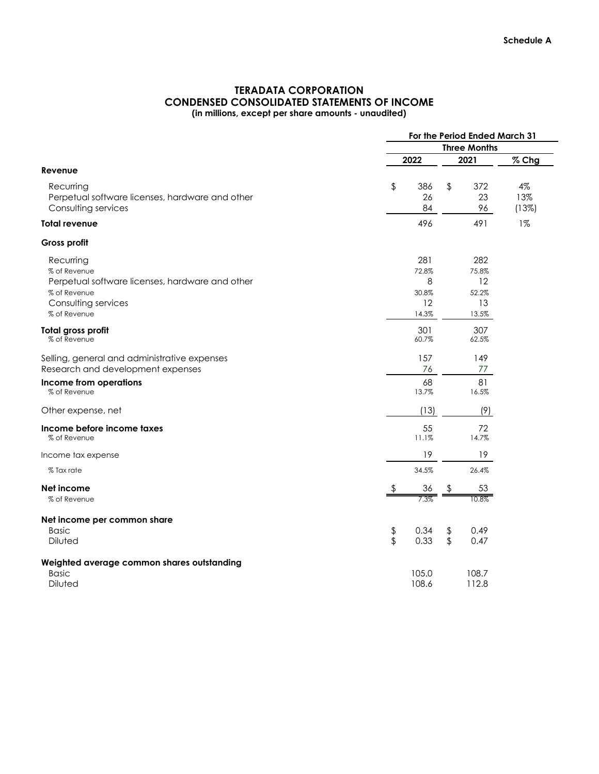# **TERADATA CORPORATION CONDENSED CONSOLIDATED STATEMENTS OF INCOME (in millions, except per share amounts - unaudited)**

|                                                 | For the Period Ended March 31 |                     |               |             |       |  |  |
|-------------------------------------------------|-------------------------------|---------------------|---------------|-------------|-------|--|--|
|                                                 |                               | <b>Three Months</b> |               |             |       |  |  |
|                                                 |                               | 2022                |               | 2021        | % Chg |  |  |
| Revenue                                         |                               |                     |               |             |       |  |  |
| Recurring                                       | \$                            | 386                 | \$            | 372         | 4%    |  |  |
| Perpetual software licenses, hardware and other |                               | 26                  |               | 23          | 13%   |  |  |
| Consulting services                             |                               | 84                  |               | 96          | (13%) |  |  |
| Total revenue                                   |                               | 496                 |               | 491         | $1\%$ |  |  |
| <b>Gross profit</b>                             |                               |                     |               |             |       |  |  |
| Recurring                                       |                               | 281                 |               | 282         |       |  |  |
| % of Revenue                                    |                               | 72.8%               |               | 75.8%       |       |  |  |
| Perpetual software licenses, hardware and other |                               | 8                   |               | 12          |       |  |  |
| % of Revenue                                    |                               | 30.8%               |               | 52.2%       |       |  |  |
| Consulting services                             |                               | 12                  |               | 13          |       |  |  |
| % of Revenue                                    |                               | 14.3%               |               | 13.5%       |       |  |  |
| Total gross profit                              |                               | 301                 |               | 307         |       |  |  |
| % of Revenue                                    |                               | 60.7%               |               | 62.5%       |       |  |  |
| Selling, general and administrative expenses    |                               | 157                 |               | 149         |       |  |  |
| Research and development expenses               |                               | 76                  |               | 77          |       |  |  |
| <b>Income from operations</b><br>% of Revenue   |                               | 68<br>13.7%         |               | 81<br>16.5% |       |  |  |
| Other expense, net                              |                               | (13)                |               | (9)         |       |  |  |
| Income before income taxes                      |                               | 55                  |               | 72          |       |  |  |
| % of Revenue                                    |                               | 11.1%               |               | 14.7%       |       |  |  |
| Income tax expense                              |                               | 19                  |               | 19          |       |  |  |
| % Tax rate                                      |                               | 34.5%               |               | 26.4%       |       |  |  |
| Net income                                      |                               | 36                  |               | 53          |       |  |  |
| % of Revenue                                    |                               | 7.3%                |               | 10.8%       |       |  |  |
| Net income per common share                     |                               |                     |               |             |       |  |  |
| <b>Basic</b>                                    | \$                            | 0.34                | \$            | 0.49        |       |  |  |
| Diluted                                         | \$                            | 0.33                | $\sqrt[6]{2}$ | 0.47        |       |  |  |
| Weighted average common shares outstanding      |                               |                     |               |             |       |  |  |
| <b>Basic</b>                                    |                               | 105.0               |               | 108.7       |       |  |  |
| Diluted                                         |                               | 108.6               |               | 112.8       |       |  |  |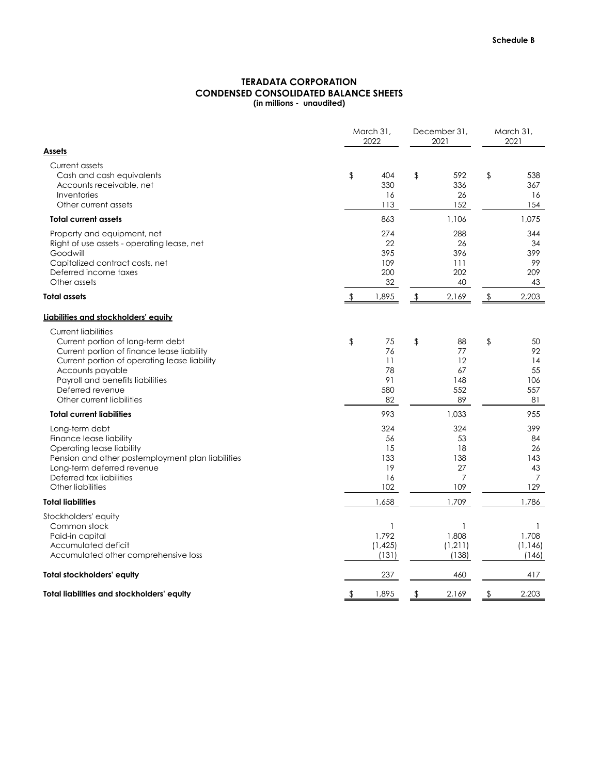# **CONDENSED CONSOLIDATED BALANCE SHEETS (in millions - unaudited) TERADATA CORPORATION**

|                                                                                                                                                                                                                                                                        | March 31,<br>2022                             |               | December 31,<br>2021                                  | March 31,<br>2021<br>538                              |  |
|------------------------------------------------------------------------------------------------------------------------------------------------------------------------------------------------------------------------------------------------------------------------|-----------------------------------------------|---------------|-------------------------------------------------------|-------------------------------------------------------|--|
| <b>Assets</b>                                                                                                                                                                                                                                                          |                                               |               |                                                       |                                                       |  |
| Current assets<br>Cash and cash equivalents<br>Accounts receivable, net<br>Inventories<br>Other current assets                                                                                                                                                         | \$<br>404<br>330<br>16<br>113                 | \$            | 592<br>336<br>26<br>152                               | \$<br>367<br>16<br>154                                |  |
| <b>Total current assets</b>                                                                                                                                                                                                                                            | 863                                           |               | 1,106                                                 | 1,075                                                 |  |
| Property and equipment, net<br>Right of use assets - operating lease, net<br>Goodwill<br>Capitalized contract costs, net<br>Deferred income taxes<br>Other assets                                                                                                      | 274<br>22<br>395<br>109<br>200<br>32          |               | 288<br>26<br>396<br>111<br>202<br>40                  | 344<br>34<br>399<br>99<br>209<br>43                   |  |
| <b>Total assets</b>                                                                                                                                                                                                                                                    | \$<br>1,895                                   | $\frac{1}{2}$ | 2,169                                                 | \$<br>2,203                                           |  |
| Liabilities and stockholders' equity                                                                                                                                                                                                                                   |                                               |               |                                                       |                                                       |  |
| <b>Current liabilities</b><br>Current portion of long-term debt<br>Current portion of finance lease liability<br>Current portion of operating lease liability<br>Accounts payable<br>Payroll and benefits liabilities<br>Deferred revenue<br>Other current liabilities | \$<br>75<br>76<br>11<br>78<br>91<br>580<br>82 | $\frac{1}{2}$ | 88<br>77<br>12<br>67<br>148<br>552<br>89              | \$<br>50<br>92<br>14<br>55<br>106<br>557<br>81        |  |
| <b>Total current liabilities</b>                                                                                                                                                                                                                                       | 993                                           |               | 1,033                                                 | 955                                                   |  |
| Long-term debt<br>Finance lease liability<br>Operating lease liability<br>Pension and other postemployment plan liabilities<br>Long-term deferred revenue<br>Deferred tax liabilities<br>Other liabilities                                                             | 324<br>56<br>15<br>133<br>19<br>16<br>102     |               | 324<br>53<br>18<br>138<br>27<br>$\overline{7}$<br>109 | 399<br>84<br>26<br>143<br>43<br>$\overline{7}$<br>129 |  |
| <b>Total liabilities</b>                                                                                                                                                                                                                                               | 1,658                                         |               | 1,709                                                 | 1,786                                                 |  |
| Stockholders' equity<br>Common stock<br>Paid-in capital<br>Accumulated deficit<br>Accumulated other comprehensive loss                                                                                                                                                 | 1,792<br>(1, 425)<br>(131)                    |               | 1,808<br>(1, 211)<br>(138)                            | 1,708<br>(1, 146)<br>(146)                            |  |
| <b>Total stockholders' equity</b>                                                                                                                                                                                                                                      | 237                                           |               | 460                                                   | 417                                                   |  |
| Total liabilities and stockholders' equity                                                                                                                                                                                                                             | \$<br>1,895                                   | \$            | 2,169                                                 | \$<br>2,203                                           |  |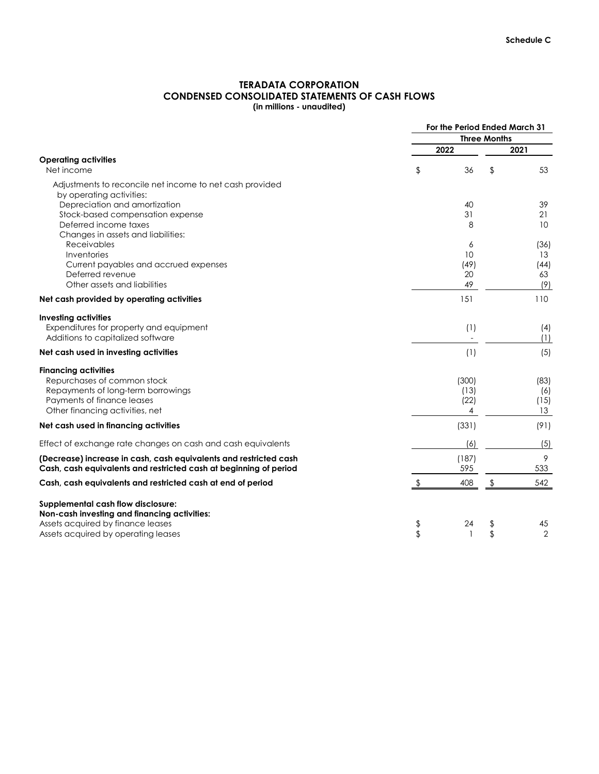# **TERADATA CORPORATION CONDENSED CONSOLIDATED STATEMENTS OF CASH FLOWS (in millions - unaudited)**

|                                                                                                                                        |               | For the Period Ended March 31 |                     |                 |
|----------------------------------------------------------------------------------------------------------------------------------------|---------------|-------------------------------|---------------------|-----------------|
|                                                                                                                                        |               |                               | <b>Three Months</b> |                 |
|                                                                                                                                        |               | 2022                          |                     | 2021            |
| <b>Operating activities</b><br>Net income                                                                                              | \$            | 36                            | $\frac{1}{2}$       | 53              |
| Adjustments to reconcile net income to net cash provided<br>by operating activities:                                                   |               |                               |                     |                 |
| Depreciation and amortization                                                                                                          |               | 40                            |                     | 39              |
| Stock-based compensation expense                                                                                                       |               | 31                            |                     | 21              |
| Deferred income taxes<br>Changes in assets and liabilities:                                                                            |               | 8                             |                     | 10 <sup>°</sup> |
| Receivables                                                                                                                            |               | 6                             |                     | (36)            |
| Inventories                                                                                                                            |               | 10                            |                     | 13              |
| Current payables and accrued expenses                                                                                                  |               | (49)                          |                     | (44)            |
| Deferred revenue                                                                                                                       |               | 20                            |                     | 63              |
| Other assets and liabilities                                                                                                           |               | 49                            |                     | (9)             |
| Net cash provided by operating activities                                                                                              |               | 151                           |                     | 110             |
| <b>Investing activities</b><br>Expenditures for property and equipment<br>Additions to capitalized software                            |               | (1)                           |                     | (4)<br>(1)      |
| Net cash used in investing activities                                                                                                  |               | (1)                           |                     | (5)             |
| <b>Financing activities</b>                                                                                                            |               |                               |                     |                 |
| Repurchases of common stock                                                                                                            |               | (300)                         |                     | (83)            |
| Repayments of long-term borrowings                                                                                                     |               | (13)                          |                     | (6)             |
| Payments of finance leases                                                                                                             |               | (22)                          |                     | (15)            |
| Other financing activities, net                                                                                                        |               | 4                             |                     | 13              |
| Net cash used in financing activities                                                                                                  |               | (331)                         |                     | (91)            |
| Effect of exchange rate changes on cash and cash equivalents                                                                           |               | (6)                           |                     | (5)             |
| (Decrease) increase in cash, cash equivalents and restricted cash<br>Cash, cash equivalents and restricted cash at beginning of period |               | (187)<br>595                  |                     | 9<br>533        |
| Cash, cash equivalents and restricted cash at end of period                                                                            | $\frac{1}{2}$ | 408                           | $\frac{1}{2}$       | 542             |
| <b>Supplemental cash flow disclosure:</b>                                                                                              |               |                               |                     |                 |
| Non-cash investing and financing activities:                                                                                           |               |                               |                     |                 |
| Assets acquired by finance leases                                                                                                      | \$            | 24                            | \$                  | 45              |
| Assets acquired by operating leases                                                                                                    | \$            | 1                             | \$                  | $\overline{2}$  |